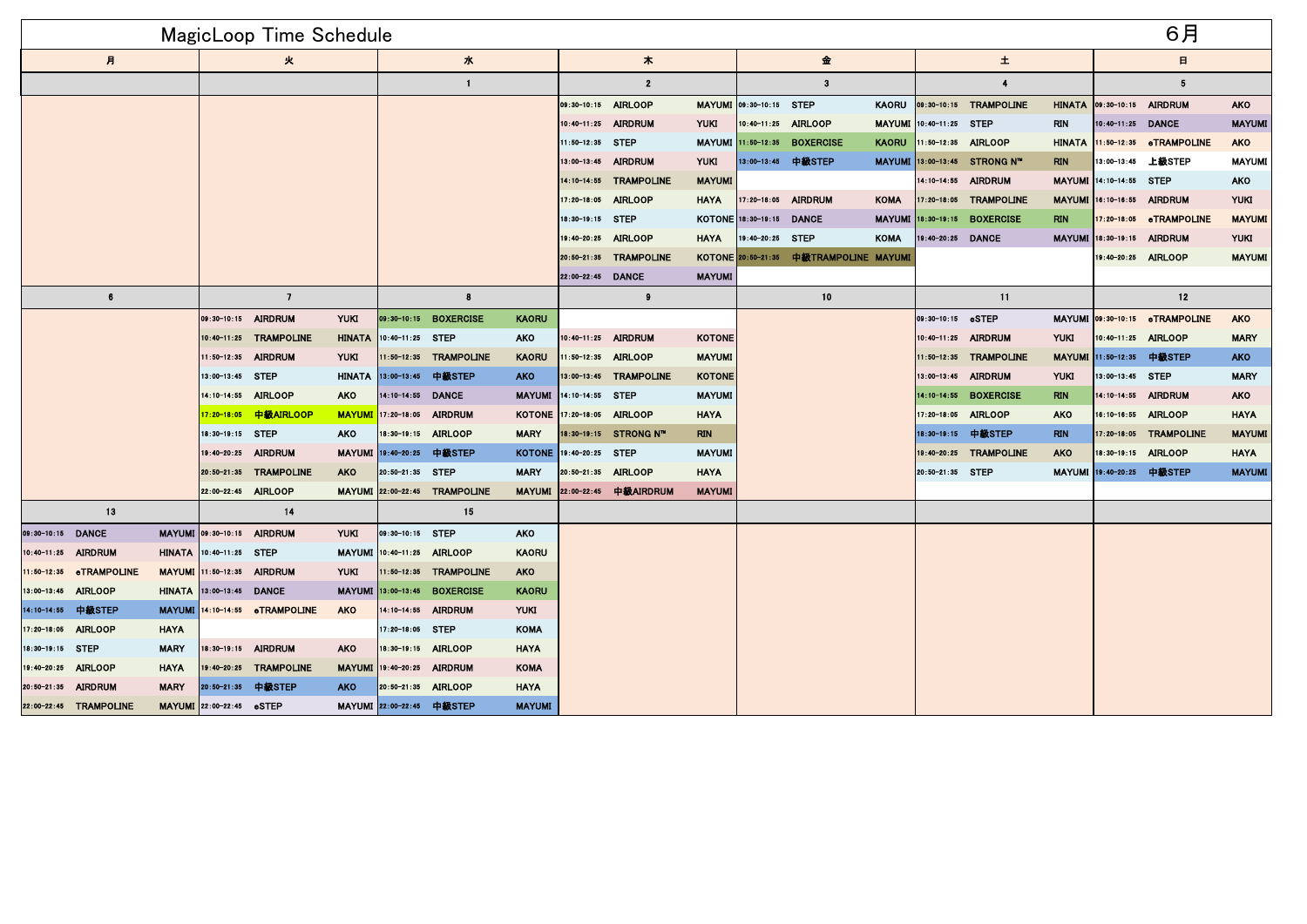|                     |                         |                  |                          | <b>MagicLoop Time Schedule</b> |                    |                        |                               |                  |                            |                        |               |                          |                                        |               |                        |                              |                           |                            | 6月                             |               |  |
|---------------------|-------------------------|------------------|--------------------------|--------------------------------|--------------------|------------------------|-------------------------------|------------------|----------------------------|------------------------|---------------|--------------------------|----------------------------------------|---------------|------------------------|------------------------------|---------------------------|----------------------------|--------------------------------|---------------|--|
| 月                   |                         |                  | 火                        |                                |                    | 水                      |                               |                  | 木                          |                        |               | 金                        |                                        |               | 土                      |                              |                           | $\blacksquare$             |                                |               |  |
|                     |                         |                  |                          |                                |                    | $\mathbf{1}$           |                               |                  |                            | $\overline{2}$         |               |                          | $\mathbf{3}$                           |               |                        | $\overline{4}$               |                           |                            | 5                              |               |  |
|                     |                         |                  |                          |                                |                    |                        |                               |                  | 09:30-10:15 AIRLOOP        |                        |               | MAYUMI 09:30-10:15 STEP  |                                        | <b>KAORU</b>  |                        | 09:30-10:15 TRAMPOLINE       |                           | HINATA 09:30-10:15 AIRDRUM |                                | <b>AKO</b>    |  |
|                     |                         |                  |                          |                                |                    |                        |                               |                  | $10:40 - 11:25$            | <b>AIRDRUM</b>         | <b>YUKI</b>   | 10:40-11:25 AIRLOOP      |                                        | <b>MAYUMI</b> | 10:40-11:25            | <b>STEP</b>                  | <b>RIN</b>                | 10:40-11:25 DANCE          |                                | <b>MAYUMI</b> |  |
|                     |                         |                  |                          |                                |                    |                        |                               |                  | 11:50-12:35 STEP           |                        |               |                          | MAYUMI 11:50-12:35 BOXERCISE           | <b>KAORU</b>  | 11:50-12:35 AIRLOOP    |                              | <b>HINATA</b>             |                            | 11:50-12:35 eTRAMPOLINE        | <b>AKO</b>    |  |
|                     |                         |                  |                          |                                |                    |                        |                               |                  |                            | 13:00-13:45 AIRDRUM    | <b>YUKI</b>   |                          | 13:00-13:45 中級STEP                     |               |                        | MAYUMI 13:00-13:45 STRONG N" | <b>RIN</b>                | 13:00-13:45                | 上級STEP                         | <b>MAYUMI</b> |  |
|                     |                         |                  |                          |                                |                    |                        |                               |                  |                            | 14:10-14:55 TRAMPOLINE | <b>MAYUMI</b> |                          |                                        |               |                        | 14:10-14:55 AIRDRUM          | <b>MAYUMI</b>             | 14:10-14:55 STEP           |                                | <b>AKO</b>    |  |
|                     |                         |                  |                          |                                |                    |                        |                               |                  |                            | 17:20-18:05 AIRLOOP    | <b>HAYA</b>   |                          | 17:20-18:05 AIRDRUM                    | <b>KOMA</b>   |                        | 17:20-18:05 TRAMPOLINE       | <b>MAYUMI</b>             |                            | 16:10-16:55 AIRDRUM            | <b>YUKI</b>   |  |
|                     |                         |                  |                          |                                |                    |                        |                               |                  | 18:30-19:15 STEP           |                        |               | KOTONE 18:30-19:15 DANCE |                                        |               | MAYUMI 18:30-19:15     | <b>BOXERCISE</b>             | <b>RIN</b>                |                            | 7:20-18:05 eTRAMPOLINE         | <b>MAYUMI</b> |  |
|                     |                         |                  |                          |                                |                    |                        |                               |                  |                            | 19:40-20:25 AIRLOOP    | <b>HAYA</b>   | 19:40-20:25 STEP         |                                        | <b>KOMA</b>   | 19:40-20:25 DANCE      |                              |                           | MAYUMI 18:30-19:15 AIRDRUM |                                | <b>YUKI</b>   |  |
|                     |                         |                  |                          |                                |                    |                        |                               |                  |                            | 20:50-21:35 TRAMPOLINE |               |                          | KOTONE 20:50-21:35 中級TRAMPOLINE MAYUMI |               |                        |                              |                           |                            | 19:40-20:25 AIRLOOP            | <b>MAYUMI</b> |  |
|                     |                         |                  |                          |                                |                    |                        |                               |                  | 22:00-22:45 DANCE          |                        | <b>MAYUMI</b> |                          |                                        |               |                        |                              |                           |                            |                                |               |  |
| 6                   |                         |                  |                          | $\overline{7}$                 |                    |                        | 8                             |                  |                            | $\pmb{9}$              |               |                          | 10                                     |               |                        | 11                           |                           |                            | 12                             |               |  |
|                     |                         |                  |                          | 09:30-10:15 AIRDRUM            | <b>YUKI</b>        | $09:30 - 10:15$        | <b>BOXERCISE</b>              | <b>KAORU</b>     |                            |                        |               |                          |                                        |               | $ 09:30-10:15$         | eSTEP                        |                           |                            | MAYUMI 09:30-10:15 eTRAMPOLINE | <b>AKO</b>    |  |
|                     |                         |                  |                          | 10:40-11:25 TRAMPOLINE         | <b>HINATA</b>      | 10:40-11:25 STEP       |                               | <b>AKO</b>       |                            | 10:40-11:25 AIRDRUM    | <b>KOTONE</b> |                          |                                        |               |                        | 10:40-11:25 AIRDRUM          | <b>YUKI</b>               |                            | 10:40-11:25 AIRLOOP            | <b>MARY</b>   |  |
|                     |                         |                  | 11:50-12:35 AIRDRUM      | <b>YUKI</b>                    |                    | 11:50-12:35 TRAMPOLINE | <b>KAORU</b>                  |                  | 11:50-12:35 AIRLOOP        | <b>MAYUMI</b>          |               |                          |                                        |               | 11:50-12:35 TRAMPOLINE |                              | MAYUMI 11:50-12:35 中級STEP |                            | <b>AKO</b>                     |               |  |
|                     |                         | 13:00-13:45 STEP |                          |                                | HINATA 13:00-13:45 | 中級STEP                 | <b>AKO</b>                    |                  | 13:00-13:45 TRAMPOLINE     | <b>KOTONE</b>          |               |                          |                                        |               | 13:00-13:45 AIRDRUM    | <b>YUKI</b>                  | 13:00-13:45 STEP          |                            | <b>MARY</b>                    |               |  |
|                     |                         |                  | 14:10-14:55 AIRLOOP      | <b>AKO</b>                     | 14:10-14:55 DANCE  |                        | <b>MAYUMI</b>                 | 14:10-14:55 STEP |                            | <b>MAYUMI</b>          |               |                          |                                        | $14:10-14:55$ | <b>BOXERCISE</b>       | <b>RIN</b>                   |                           | 14:10-14:55 AIRDRUM        | <b>AKO</b>                     |               |  |
|                     |                         |                  |                          | 17:20-18:05 中級AIRLOOP          | <b>MAYUMI</b>      | 17:20-18:05            | <b>AIRDRUM</b>                |                  | KOTONE 17:20-18:05 AIRLOOP |                        | <b>HAYA</b>   |                          |                                        |               | 17:20-18:05            | <b>AIRLOOP</b>               | <b>AKO</b>                |                            | 16:10-16:55 AIRLOOP            | <b>HAYA</b>   |  |
|                     |                         |                  | 18:30-19:15 STEP         |                                | <b>AKO</b>         |                        | 18:30-19:15 AIRLOOP           | <b>MARY</b>      |                            | 18:30-19:15 STRONG N"  | <b>RIN</b>    |                          |                                        |               | 18:30-19:15            | 中級STEP                       | <b>RIN</b>                |                            | 17:20-18:05 TRAMPOLINE         | <b>MAYUMI</b> |  |
|                     |                         |                  |                          | 19:40-20:25 AIRDRUM            |                    |                        | MAYUMI 19:40-20:25 中級STEP     |                  | KOTONE 19:40-20:25 STEP    |                        | <b>MAYUMI</b> |                          |                                        |               |                        | 19:40-20:25 TRAMPOLINE       | <b>AKO</b>                |                            | 18:30-19:15 AIRLOOP            | <b>HAYA</b>   |  |
|                     |                         |                  |                          | 20:50-21:35 TRAMPOLINE         | <b>AKO</b>         | 20:50-21:35 STEP       |                               | <b>MARY</b>      | 20:50-21:35 AIRLOOP        |                        | <b>HAYA</b>   |                          |                                        |               | 20:50-21:35 STEP       |                              |                           | MAYUMI 19:40-20:25 中級STEP  |                                | <b>MAYUMI</b> |  |
|                     |                         |                  | 22:00-22:45 AIRLOOP      |                                |                    |                        | MAYUMI 22:00-22:45 TRAMPOLINE | <b>MAYUMI</b>    |                            | 22:00-22:45 中級AIRDRUM  | <b>MAYUMI</b> |                          |                                        |               |                        |                              |                           |                            |                                |               |  |
|                     | 13                      |                  |                          | 14                             |                    |                        | 15                            |                  |                            |                        |               |                          |                                        |               |                        |                              |                           |                            |                                |               |  |
| 09:30-10:15 DANCE   |                         |                  |                          | MAYUMI 09:30-10:15 AIRDRUM     | <b>YUKI</b>        | 09:30-10:15 STEP       |                               | <b>AKO</b>       |                            |                        |               |                          |                                        |               |                        |                              |                           |                            |                                |               |  |
| 10:40-11:25 AIRDRUM |                         |                  | HINATA 10:40-11:25 STEP  |                                |                    |                        | MAYUMI 10:40-11:25 AIRLOOP    | <b>KAORU</b>     |                            |                        |               |                          |                                        |               |                        |                              |                           |                            |                                |               |  |
|                     | 11:50-12:35 eTRAMPOLINE |                  |                          | MAYUMI 11:50-12:35 AIRDRUM     | <b>YUKI</b>        |                        | 1:50-12:35 TRAMPOLINE         | <b>AKO</b>       |                            |                        |               |                          |                                        |               |                        |                              |                           |                            |                                |               |  |
| 13:00-13:45 AIRLOOP |                         |                  | HINATA 13:00-13:45 DANCE |                                |                    | MAYUMI 13:00-13:45     | <b>BOXERCISE</b>              | <b>KAORU</b>     |                            |                        |               |                          |                                        |               |                        |                              |                           |                            |                                |               |  |
| 14.10-14.55         | 中級STEP                  |                  |                          | MAYUMI 14:10-14:55 eTRAMPOLINE | <b>AKO</b>         | 14:10-14:55            | <b>AIRDRUM</b>                | <b>YUKI</b>      |                            |                        |               |                          |                                        |               |                        |                              |                           |                            |                                |               |  |
| 17.20-18.05         | <b>AIRLOOP</b>          | <b>HAYA</b>      |                          |                                |                    | 17:20-18.05            | <b>STEP</b>                   | <b>KOMA</b>      |                            |                        |               |                          |                                        |               |                        |                              |                           |                            |                                |               |  |
| 18:30-19:15 STEP    |                         | <b>MARY</b>      |                          | 18:30-19:15 AIRDRUM            | <b>AKO</b>         | 18:30-19:15            | <b>AIRLOOP</b>                | <b>HAYA</b>      |                            |                        |               |                          |                                        |               |                        |                              |                           |                            |                                |               |  |
| 19:40-20:25 AIRLOOP |                         | <b>HAYA</b>      |                          | 19:40-20:25 TRAMPOLINE         |                    |                        | MAYUMI 19:40-20:25 AIRDRUM    | <b>KOMA</b>      |                            |                        |               |                          |                                        |               |                        |                              |                           |                            |                                |               |  |
| 20:50-21:35 AIRDRUM |                         | <b>MARY</b>      |                          | 20:50-21:35 中級STEP             | <b>AKO</b>         |                        | 20:50-21:35 AIRLOOP           | <b>HAYA</b>      |                            |                        |               |                          |                                        |               |                        |                              |                           |                            |                                |               |  |
|                     | 22:00-22:45 TRAMPOLINE  |                  | MAYUMI 22:00-22:45 eSTEP |                                |                    | MAYUMI 22:00-22:45     | 中級STEP                        | <b>MAYUMI</b>    |                            |                        |               |                          |                                        |               |                        |                              |                           |                            |                                |               |  |